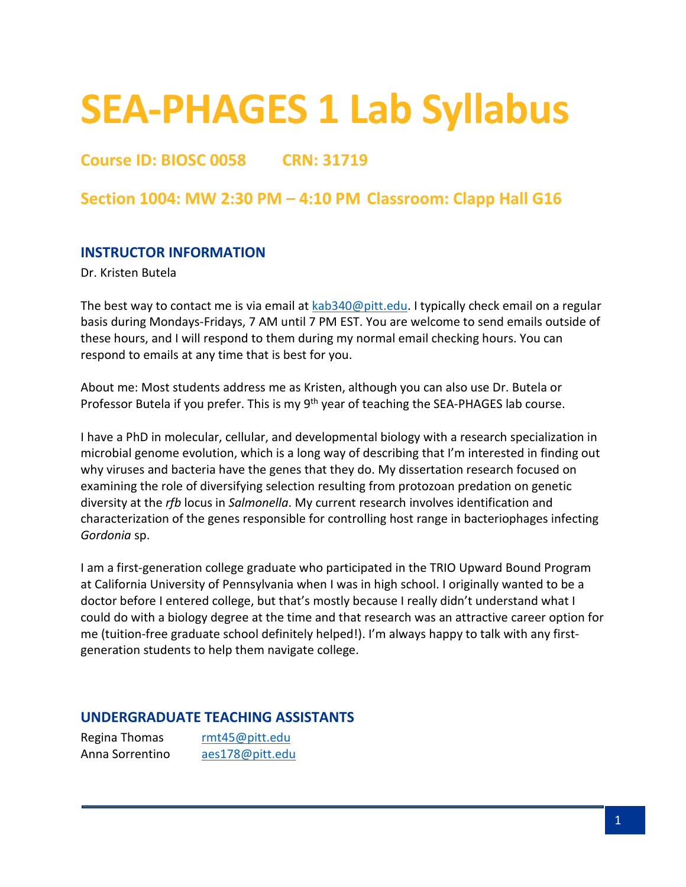# **SEA-PHAGES 1 Lab Syllabus**

# **Course ID: BIOSC 0058 CRN: 31719**

## **Section 1004: MW 2:30 PM – 4:10 PM Classroom: Clapp Hall G16**

#### **INSTRUCTOR INFORMATION**

Dr. Kristen Butela

The best way to contact me is via email at [kab340@pitt.edu.](mailto:kab340@pitt.edu) I typically check email on a regular basis during Mondays-Fridays, 7 AM until 7 PM EST. You are welcome to send emails outside of these hours, and I will respond to them during my normal email checking hours. You can respond to emails at any time that is best for you.

About me: Most students address me as Kristen, although you can also use Dr. Butela or Professor Butela if you prefer. This is my 9<sup>th</sup> year of teaching the SEA-PHAGES lab course.

I have a PhD in molecular, cellular, and developmental biology with a research specialization in microbial genome evolution, which is a long way of describing that I'm interested in finding out why viruses and bacteria have the genes that they do. My dissertation research focused on examining the role of diversifying selection resulting from protozoan predation on genetic diversity at the *rfb* locus in *Salmonella*. My current research involves identification and characterization of the genes responsible for controlling host range in bacteriophages infecting *Gordonia* sp.

I am a first-generation college graduate who participated in the TRIO Upward Bound Program at California University of Pennsylvania when I was in high school. I originally wanted to be a doctor before I entered college, but that's mostly because I really didn't understand what I could do with a biology degree at the time and that research was an attractive career option for me (tuition-free graduate school definitely helped!). I'm always happy to talk with any firstgeneration students to help them navigate college.

#### **UNDERGRADUATE TEACHING ASSISTANTS**

Regina Thomas [rmt45@pitt.edu](mailto:rmt45@pitt.edu) Anna Sorrentino [aes178@pitt.edu](mailto:aes178@pitt.edu)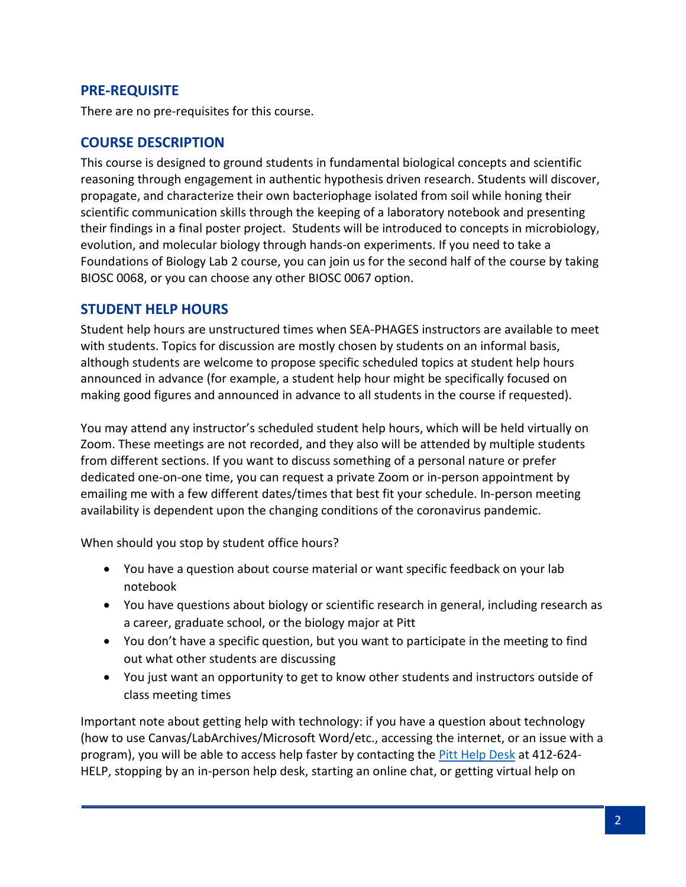## **PRE-REQUISITE**

There are no pre-requisites for this course.

## **COURSE DESCRIPTION**

This course is designed to ground students in fundamental biological concepts and scientific reasoning through engagement in authentic hypothesis driven research. Students will discover, propagate, and characterize their own bacteriophage isolated from soil while honing their scientific communication skills through the keeping of a laboratory notebook and presenting their findings in a final poster project. Students will be introduced to concepts in microbiology, evolution, and molecular biology through hands-on experiments. If you need to take a Foundations of Biology Lab 2 course, you can join us for the second half of the course by taking BIOSC 0068, or you can choose any other BIOSC 0067 option.

#### **STUDENT HELP HOURS**

Student help hours are unstructured times when SEA-PHAGES instructors are available to meet with students. Topics for discussion are mostly chosen by students on an informal basis, although students are welcome to propose specific scheduled topics at student help hours announced in advance (for example, a student help hour might be specifically focused on making good figures and announced in advance to all students in the course if requested).

You may attend any instructor's scheduled student help hours, which will be held virtually on Zoom. These meetings are not recorded, and they also will be attended by multiple students from different sections. If you want to discuss something of a personal nature or prefer dedicated one-on-one time, you can request a private Zoom or in-person appointment by emailing me with a few different dates/times that best fit your schedule. In-person meeting availability is dependent upon the changing conditions of the coronavirus pandemic.

When should you stop by student office hours?

- You have a question about course material or want specific feedback on your lab notebook
- You have questions about biology or scientific research in general, including research as a career, graduate school, or the biology major at Pitt
- You don't have a specific question, but you want to participate in the meeting to find out what other students are discussing
- You just want an opportunity to get to know other students and instructors outside of class meeting times

Important note about getting help with technology: if you have a question about technology (how to use Canvas/LabArchives/Microsoft Word/etc., accessing the internet, or an issue with a program), you will be able to access help faster by contacting the *Pitt Help Desk* at 412-624-HELP, stopping by an in-person help desk, starting an online chat, or getting virtual help on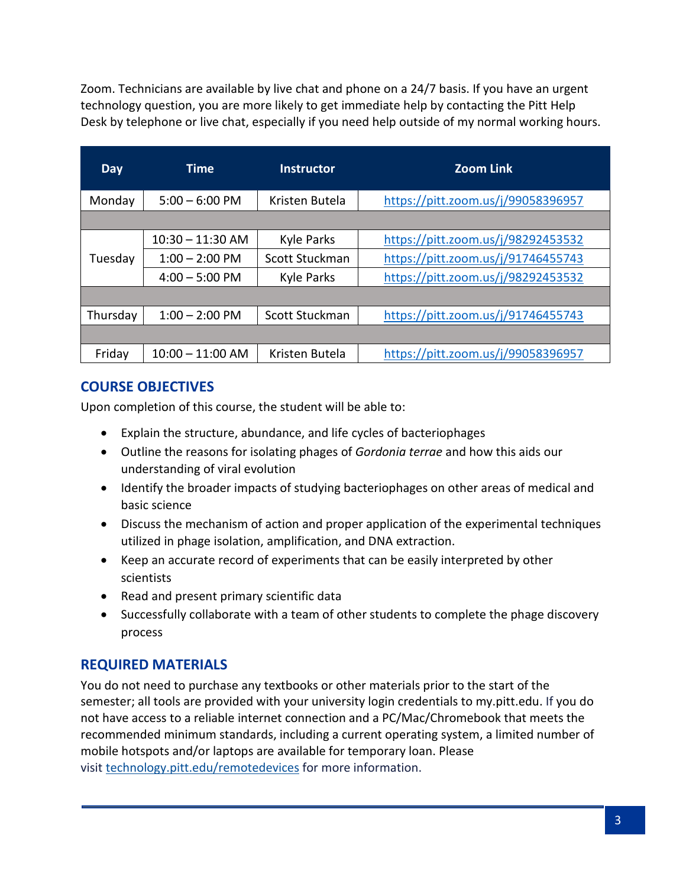Zoom. Technicians are available by live chat and phone on a 24/7 basis. If you have an urgent technology question, you are more likely to get immediate help by contacting the Pitt Help Desk by telephone or live chat, especially if you need help outside of my normal working hours.

| Day      | <b>Time</b>        | <b>Instructor</b> | <b>Zoom Link</b>                   |
|----------|--------------------|-------------------|------------------------------------|
| Monday   | $5:00 - 6:00$ PM   | Kristen Butela    | https://pitt.zoom.us/j/99058396957 |
|          |                    |                   |                                    |
|          | $10:30 - 11:30$ AM | <b>Kyle Parks</b> | https://pitt.zoom.us/j/98292453532 |
| Tuesday  | $1:00 - 2:00$ PM   | Scott Stuckman    | https://pitt.zoom.us/j/91746455743 |
|          | $4:00 - 5:00$ PM   | <b>Kyle Parks</b> | https://pitt.zoom.us/j/98292453532 |
|          |                    |                   |                                    |
| Thursday | $1:00 - 2:00$ PM   | Scott Stuckman    | https://pitt.zoom.us/j/91746455743 |
|          |                    |                   |                                    |
| Friday   | $10:00 - 11:00$ AM | Kristen Butela    | https://pitt.zoom.us/j/99058396957 |

## **COURSE OBJECTIVES**

Upon completion of this course, the student will be able to:

- Explain the structure, abundance, and life cycles of bacteriophages
- Outline the reasons for isolating phages of *Gordonia terrae* and how this aids our understanding of viral evolution
- Identify the broader impacts of studying bacteriophages on other areas of medical and basic science
- Discuss the mechanism of action and proper application of the experimental techniques utilized in phage isolation, amplification, and DNA extraction.
- Keep an accurate record of experiments that can be easily interpreted by other scientists
- Read and present primary scientific data
- Successfully collaborate with a team of other students to complete the phage discovery process

## **REQUIRED MATERIALS**

You do not need to purchase any textbooks or other materials prior to the start of the semester; all tools are provided with your university login credentials to my.pitt.edu. If you do not have access to a reliable internet connection and a PC/Mac/Chromebook that meets the recommended minimum standards, including a current operating system, a limited number of mobile hotspots and/or laptops are available for temporary loan. Please visit [technology.pitt.edu/remotedevices](https://www.technology.pitt.edu/remotedevices) for more information.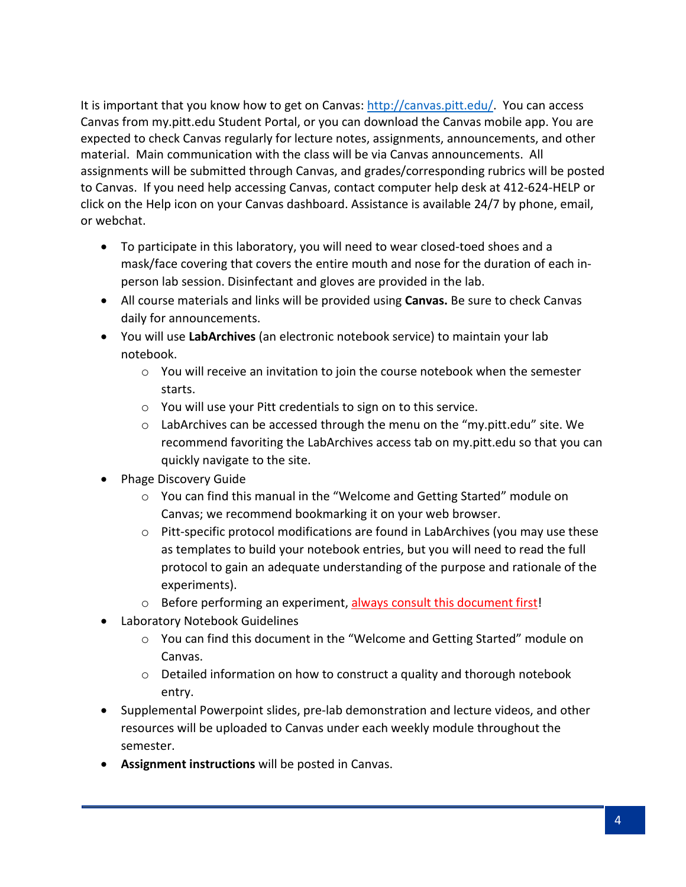It is important that you know how to get on Canvas: [http://canvas.pitt.edu/.](http://canvas.pitt.edu/) You can access Canvas from my.pitt.edu Student Portal, or you can download the Canvas mobile app. You are expected to check Canvas regularly for lecture notes, assignments, announcements, and other material. Main communication with the class will be via Canvas announcements. All assignments will be submitted through Canvas, and grades/corresponding rubrics will be posted to Canvas. If you need help accessing Canvas, contact computer help desk at 412-624-HELP or click on the Help icon on your Canvas dashboard. Assistance is available 24/7 by phone, email, or webchat.

- To participate in this laboratory, you will need to wear closed-toed shoes and a mask/face covering that covers the entire mouth and nose for the duration of each inperson lab session. Disinfectant and gloves are provided in the lab.
- All course materials and links will be provided using **Canvas.** Be sure to check Canvas daily for announcements.
- You will use **LabArchives** (an electronic notebook service) to maintain your lab notebook.
	- o You will receive an invitation to join the course notebook when the semester starts.
	- o You will use your Pitt credentials to sign on to this service.
	- o LabArchives can be accessed through the menu on the "my.pitt.edu" site. We recommend favoriting the LabArchives access tab on my.pitt.edu so that you can quickly navigate to the site.
- Phage Discovery Guide
	- o You can find this manual in the "Welcome and Getting Started" module on Canvas; we recommend bookmarking it on your web browser.
	- $\circ$  Pitt-specific protocol modifications are found in LabArchives (you may use these as templates to build your notebook entries, but you will need to read the full protocol to gain an adequate understanding of the purpose and rationale of the experiments).
	- o Before performing an experiment, always consult this document first!
- Laboratory Notebook Guidelines
	- o You can find this document in the "Welcome and Getting Started" module on Canvas.
	- $\circ$  Detailed information on how to construct a quality and thorough notebook entry.
- Supplemental Powerpoint slides, pre-lab demonstration and lecture videos, and other resources will be uploaded to Canvas under each weekly module throughout the semester.
- **Assignment instructions** will be posted in Canvas.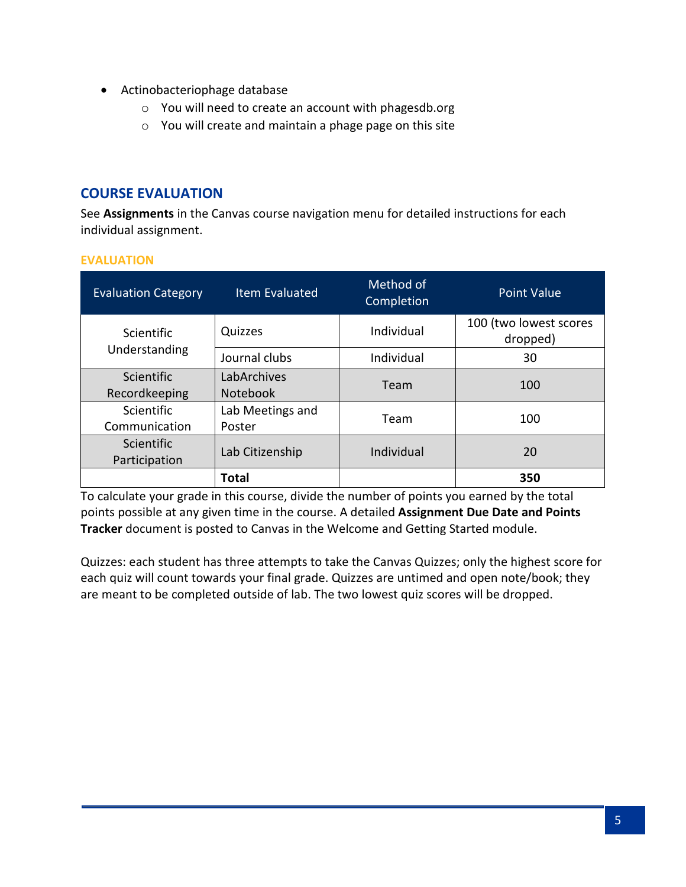- Actinobacteriophage database
	- o You will need to create an account with phagesdb.org
	- o You will create and maintain a phage page on this site

#### **COURSE EVALUATION**

See **Assignments** in the Canvas course navigation menu for detailed instructions for each individual assignment.

#### **EVALUATION**

| <b>Evaluation Category</b>         | <b>Item Evaluated</b>          | Method of<br>Completion | <b>Point Value</b>                 |
|------------------------------------|--------------------------------|-------------------------|------------------------------------|
| <b>Scientific</b>                  | Quizzes                        | Individual              | 100 (two lowest scores<br>dropped) |
| Understanding                      | Journal clubs                  | Individual              | 30                                 |
| <b>Scientific</b><br>Recordkeeping | LabArchives<br><b>Notebook</b> | Team                    | 100                                |
| <b>Scientific</b><br>Communication | Lab Meetings and<br>Poster     | Team                    | 100                                |
| <b>Scientific</b><br>Participation | Lab Citizenship                | Individual              | 20                                 |
|                                    | <b>Total</b>                   |                         | 350                                |

To calculate your grade in this course, divide the number of points you earned by the total points possible at any given time in the course. A detailed **Assignment Due Date and Points Tracker** document is posted to Canvas in the Welcome and Getting Started module.

Quizzes: each student has three attempts to take the Canvas Quizzes; only the highest score for each quiz will count towards your final grade. Quizzes are untimed and open note/book; they are meant to be completed outside of lab. The two lowest quiz scores will be dropped.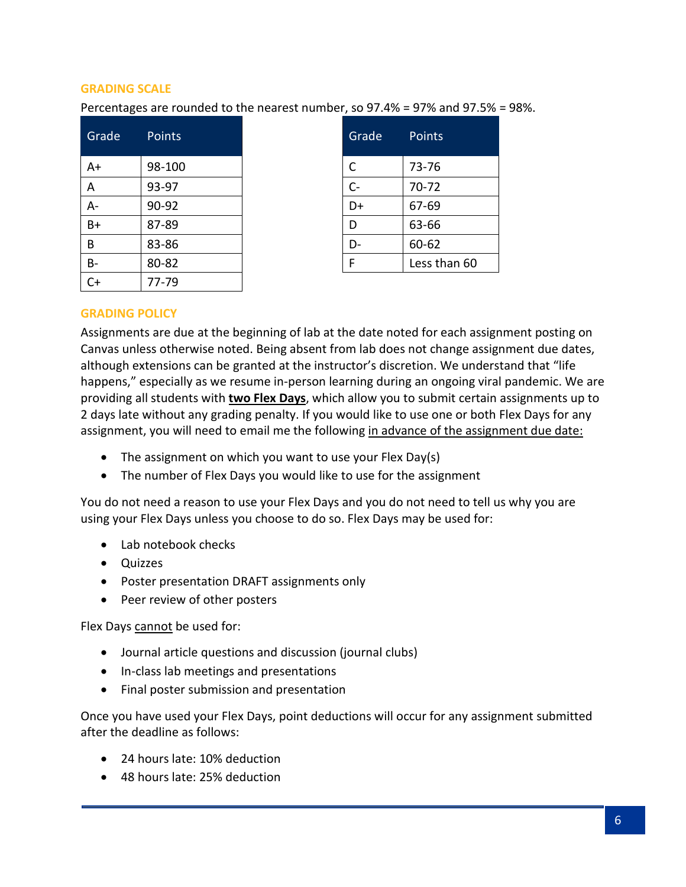#### **GRADING SCALE**

Percentages are rounded to the nearest number, so 97.4% = 97% and 97.5% = 98%.

| Grade     | <b>Points</b> | Grade | Points       |
|-----------|---------------|-------|--------------|
| $A+$      | 98-100        | C     | 73-76        |
| A         | 93-97         | $C -$ | 70-72        |
| $A -$     | 90-92         | D+    | 67-69        |
| $B+$      | 87-89         | D     | 63-66        |
| B         | 83-86         | D-    | 60-62        |
| <b>B-</b> | 80-82         | F     | Less than 60 |
| C+        | 77-79         |       |              |

| Grade | Points       |
|-------|--------------|
| C     | 73-76        |
| $C -$ | 70-72        |
| D+    | 67-69        |
| D     | 63-66        |
| D-    | 60-62        |
| F     | Less than 60 |

#### **GRADING POLICY**

Assignments are due at the beginning of lab at the date noted for each assignment posting on Canvas unless otherwise noted. Being absent from lab does not change assignment due dates, although extensions can be granted at the instructor's discretion. We understand that "life happens," especially as we resume in-person learning during an ongoing viral pandemic. We are providing all students with **two Flex Days**, which allow you to submit certain assignments up to 2 days late without any grading penalty. If you would like to use one or both Flex Days for any assignment, you will need to email me the following in advance of the assignment due date:

- The assignment on which you want to use your Flex Day(s)
- The number of Flex Days you would like to use for the assignment

You do not need a reason to use your Flex Days and you do not need to tell us why you are using your Flex Days unless you choose to do so. Flex Days may be used for:

- Lab notebook checks
- Quizzes
- Poster presentation DRAFT assignments only
- Peer review of other posters

Flex Days cannot be used for:

- Journal article questions and discussion (journal clubs)
- In-class lab meetings and presentations
- Final poster submission and presentation

Once you have used your Flex Days, point deductions will occur for any assignment submitted after the deadline as follows:

- 24 hours late: 10% deduction
- 48 hours late: 25% deduction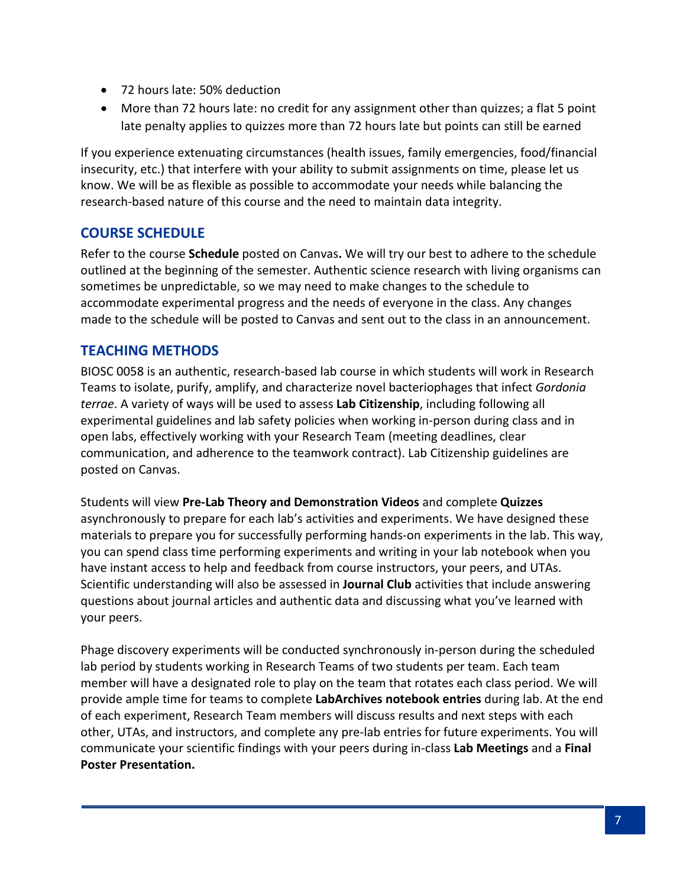- 72 hours late: 50% deduction
- More than 72 hours late: no credit for any assignment other than quizzes; a flat 5 point late penalty applies to quizzes more than 72 hours late but points can still be earned

If you experience extenuating circumstances (health issues, family emergencies, food/financial insecurity, etc.) that interfere with your ability to submit assignments on time, please let us know. We will be as flexible as possible to accommodate your needs while balancing the research-based nature of this course and the need to maintain data integrity.

## **COURSE SCHEDULE**

Refer to the course **Schedule** posted on Canvas**.** We will try our best to adhere to the schedule outlined at the beginning of the semester. Authentic science research with living organisms can sometimes be unpredictable, so we may need to make changes to the schedule to accommodate experimental progress and the needs of everyone in the class. Any changes made to the schedule will be posted to Canvas and sent out to the class in an announcement.

## **TEACHING METHODS**

BIOSC 0058 is an authentic, research-based lab course in which students will work in Research Teams to isolate, purify, amplify, and characterize novel bacteriophages that infect *Gordonia terrae*. A variety of ways will be used to assess **Lab Citizenship**, including following all experimental guidelines and lab safety policies when working in-person during class and in open labs, effectively working with your Research Team (meeting deadlines, clear communication, and adherence to the teamwork contract). Lab Citizenship guidelines are posted on Canvas.

Students will view **Pre-Lab Theory and Demonstration Videos** and complete **Quizzes**  asynchronously to prepare for each lab's activities and experiments. We have designed these materials to prepare you for successfully performing hands-on experiments in the lab. This way, you can spend class time performing experiments and writing in your lab notebook when you have instant access to help and feedback from course instructors, your peers, and UTAs. Scientific understanding will also be assessed in **Journal Club** activities that include answering questions about journal articles and authentic data and discussing what you've learned with your peers.

Phage discovery experiments will be conducted synchronously in-person during the scheduled lab period by students working in Research Teams of two students per team. Each team member will have a designated role to play on the team that rotates each class period. We will provide ample time for teams to complete **LabArchives notebook entries** during lab. At the end of each experiment, Research Team members will discuss results and next steps with each other, UTAs, and instructors, and complete any pre-lab entries for future experiments. You will communicate your scientific findings with your peers during in-class **Lab Meetings** and a **Final Poster Presentation.**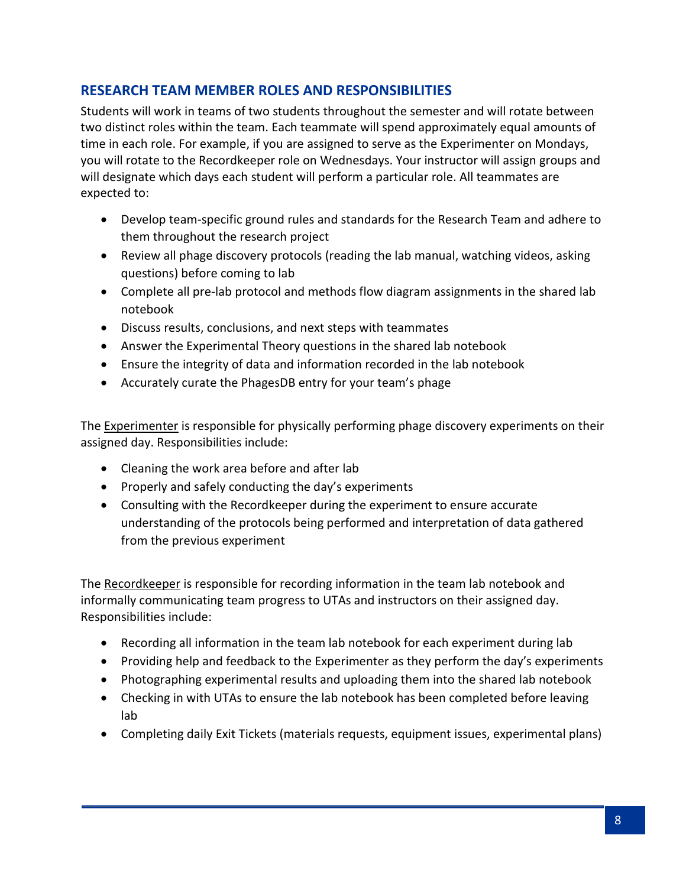## **RESEARCH TEAM MEMBER ROLES AND RESPONSIBILITIES**

Students will work in teams of two students throughout the semester and will rotate between two distinct roles within the team. Each teammate will spend approximately equal amounts of time in each role. For example, if you are assigned to serve as the Experimenter on Mondays, you will rotate to the Recordkeeper role on Wednesdays. Your instructor will assign groups and will designate which days each student will perform a particular role. All teammates are expected to:

- Develop team-specific ground rules and standards for the Research Team and adhere to them throughout the research project
- Review all phage discovery protocols (reading the lab manual, watching videos, asking questions) before coming to lab
- Complete all pre-lab protocol and methods flow diagram assignments in the shared lab notebook
- Discuss results, conclusions, and next steps with teammates
- Answer the Experimental Theory questions in the shared lab notebook
- Ensure the integrity of data and information recorded in the lab notebook
- Accurately curate the PhagesDB entry for your team's phage

The Experimenter is responsible for physically performing phage discovery experiments on their assigned day. Responsibilities include:

- Cleaning the work area before and after lab
- Properly and safely conducting the day's experiments
- Consulting with the Recordkeeper during the experiment to ensure accurate understanding of the protocols being performed and interpretation of data gathered from the previous experiment

The Recordkeeper is responsible for recording information in the team lab notebook and informally communicating team progress to UTAs and instructors on their assigned day. Responsibilities include:

- Recording all information in the team lab notebook for each experiment during lab
- Providing help and feedback to the Experimenter as they perform the day's experiments
- Photographing experimental results and uploading them into the shared lab notebook
- Checking in with UTAs to ensure the lab notebook has been completed before leaving lab
- Completing daily Exit Tickets (materials requests, equipment issues, experimental plans)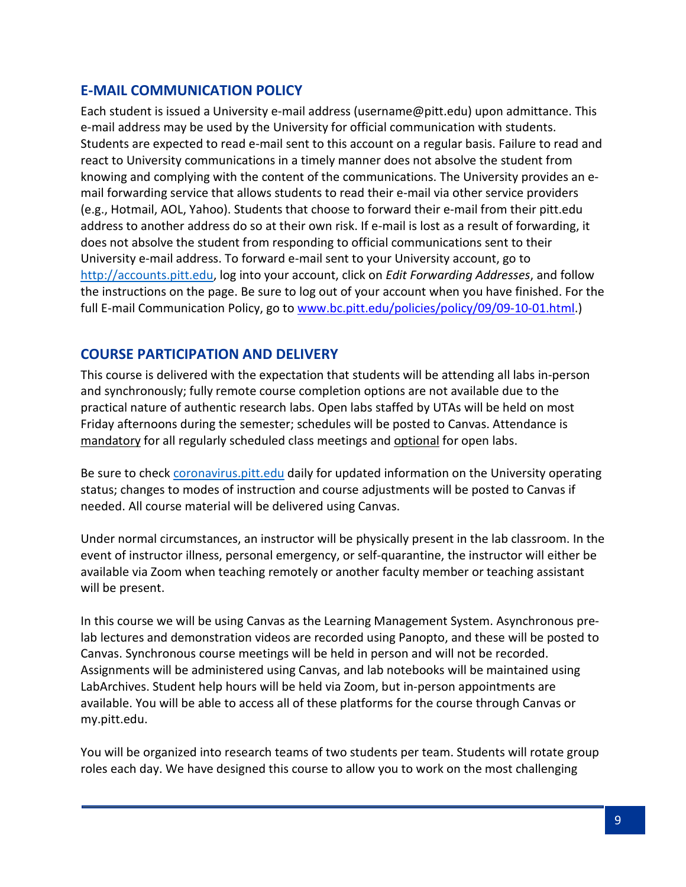### **E-MAIL COMMUNICATION POLICY**

Each student is issued a University e-mail address (username@pitt.edu) upon admittance. This e-mail address may be used by the University for official communication with students. Students are expected to read e-mail sent to this account on a regular basis. Failure to read and react to University communications in a timely manner does not absolve the student from knowing and complying with the content of the communications. The University provides an email forwarding service that allows students to read their e-mail via other service providers (e.g., Hotmail, AOL, Yahoo). Students that choose to forward their e-mail from their pitt.edu address to another address do so at their own risk. If e-mail is lost as a result of forwarding, it does not absolve the student from responding to official communications sent to their University e-mail address. To forward e-mail sent to your University account, go to [http://accounts.pitt.edu,](http://accounts.pitt.edu/) log into your account, click on *Edit Forwarding Addresses*, and follow the instructions on the page. Be sure to log out of your account when you have finished. For the full E-mail Communication Policy, go to [www.bc.pitt.edu/policies/policy/09/09-10-01.html.](http://www.bc.pitt.edu/policies/policy/09/09-10-01.html))

#### **COURSE PARTICIPATION AND DELIVERY**

This course is delivered with the expectation that students will be attending all labs in-person and synchronously; fully remote course completion options are not available due to the practical nature of authentic research labs. Open labs staffed by UTAs will be held on most Friday afternoons during the semester; schedules will be posted to Canvas. Attendance is mandatory for all regularly scheduled class meetings and optional for open labs.

Be sure to chec[k coronavirus.pitt.edu](http://coronavirus.pitt.edu/) daily for updated information on the University operating status; changes to modes of instruction and course adjustments will be posted to Canvas if needed. All course material will be delivered using Canvas.

Under normal circumstances, an instructor will be physically present in the lab classroom. In the event of instructor illness, personal emergency, or self-quarantine, the instructor will either be available via Zoom when teaching remotely or another faculty member or teaching assistant will be present.

In this course we will be using Canvas as the Learning Management System. Asynchronous prelab lectures and demonstration videos are recorded using Panopto, and these will be posted to Canvas. Synchronous course meetings will be held in person and will not be recorded. Assignments will be administered using Canvas, and lab notebooks will be maintained using LabArchives. Student help hours will be held via Zoom, but in-person appointments are available. You will be able to access all of these platforms for the course through Canvas or my.pitt.edu.

You will be organized into research teams of two students per team. Students will rotate group roles each day. We have designed this course to allow you to work on the most challenging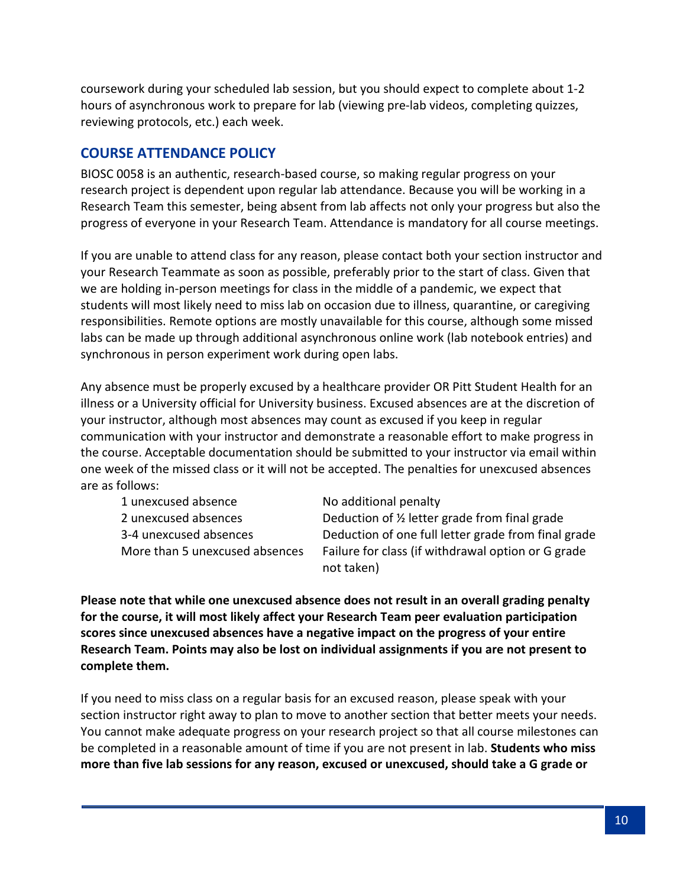coursework during your scheduled lab session, but you should expect to complete about 1-2 hours of asynchronous work to prepare for lab (viewing pre-lab videos, completing quizzes, reviewing protocols, etc.) each week.

## **COURSE ATTENDANCE POLICY**

BIOSC 0058 is an authentic, research-based course, so making regular progress on your research project is dependent upon regular lab attendance. Because you will be working in a Research Team this semester, being absent from lab affects not only your progress but also the progress of everyone in your Research Team. Attendance is mandatory for all course meetings.

If you are unable to attend class for any reason, please contact both your section instructor and your Research Teammate as soon as possible, preferably prior to the start of class. Given that we are holding in-person meetings for class in the middle of a pandemic, we expect that students will most likely need to miss lab on occasion due to illness, quarantine, or caregiving responsibilities. Remote options are mostly unavailable for this course, although some missed labs can be made up through additional asynchronous online work (lab notebook entries) and synchronous in person experiment work during open labs.

Any absence must be properly excused by a healthcare provider OR Pitt Student Health for an illness or a University official for University business. Excused absences are at the discretion of your instructor, although most absences may count as excused if you keep in regular communication with your instructor and demonstrate a reasonable effort to make progress in the course. Acceptable documentation should be submitted to your instructor via email within one week of the missed class or it will not be accepted. The penalties for unexcused absences are as follows:

1 unexcused absence No additional penalty

2 unexcused absences Deduction of ½ letter grade from final grade 3-4 unexcused absences Deduction of one full letter grade from final grade More than 5 unexcused absences Failure for class (if withdrawal option or G grade not taken)

**Please note that while one unexcused absence does not result in an overall grading penalty for the course, it will most likely affect your Research Team peer evaluation participation scores since unexcused absences have a negative impact on the progress of your entire Research Team. Points may also be lost on individual assignments if you are not present to complete them.**

If you need to miss class on a regular basis for an excused reason, please speak with your section instructor right away to plan to move to another section that better meets your needs. You cannot make adequate progress on your research project so that all course milestones can be completed in a reasonable amount of time if you are not present in lab. **Students who miss more than five lab sessions for any reason, excused or unexcused, should take a G grade or**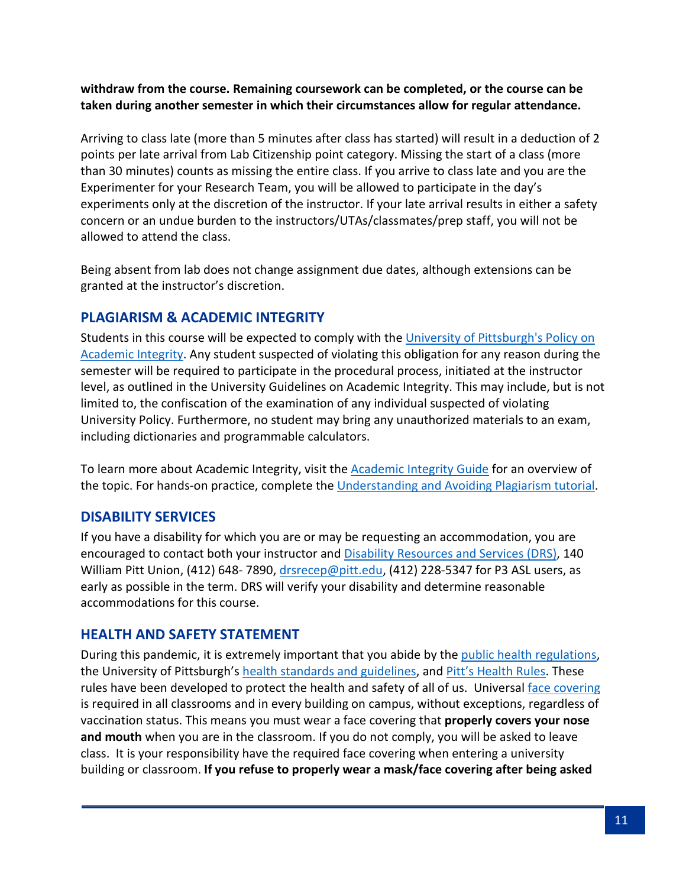#### **withdraw from the course. Remaining coursework can be completed, or the course can be taken during another semester in which their circumstances allow for regular attendance.**

Arriving to class late (more than 5 minutes after class has started) will result in a deduction of 2 points per late arrival from Lab Citizenship point category. Missing the start of a class (more than 30 minutes) counts as missing the entire class. If you arrive to class late and you are the Experimenter for your Research Team, you will be allowed to participate in the day's experiments only at the discretion of the instructor. If your late arrival results in either a safety concern or an undue burden to the instructors/UTAs/classmates/prep staff, you will not be allowed to attend the class.

Being absent from lab does not change assignment due dates, although extensions can be granted at the instructor's discretion.

### **PLAGIARISM & ACADEMIC INTEGRITY**

Students in this course will be expected to comply with the [University of Pittsburgh's Policy on](http://www.cfo.pitt.edu/policies/policy/02/02-03-02.html)  [Academic Integrity.](http://www.cfo.pitt.edu/policies/policy/02/02-03-02.html) Any student suspected of violating this obligation for any reason during the semester will be required to participate in the procedural process, initiated at the instructor level, as outlined in the University Guidelines on Academic Integrity. This may include, but is not limited to, the confiscation of the examination of any individual suspected of violating University Policy. Furthermore, no student may bring any unauthorized materials to an exam, including dictionaries and programmable calculators.

To learn more about Academic Integrity, visit the [Academic Integrity Guide](http://pitt.libguides.com/academicintegrity/) for an overview of the topic. For hands-on practice, complete the [Understanding and Avoiding Plagiarism tutorial.](https://bts.library.pitt.edu/eLearning/Captivate/Understanding_Avoiding_Plagiarism/multiscreen.html)

## **DISABILITY SERVICES**

If you have a disability for which you are or may be requesting an accommodation, you are encouraged to contact both your instructor and [Disability Resources and Services \(DRS\),](https://www.studentaffairs.pitt.edu/drs/) 140 William Pitt Union, (412) 648-7890, [drsrecep@pitt.edu,](mailto:drsrecep@pitt.edu) (412) 228-5347 for P3 ASL users, as early as possible in the term. DRS will verify your disability and determine reasonable accommodations for this course.

## **HEALTH AND SAFETY STATEMENT**

During this pandemic, it is extremely important that you abide by the [public health regulations,](https://www.alleghenycounty.us/Health-Department/Resources/COVID-19/COVID-19.aspx) the University of Pittsburgh's [health standards and guidelines,](https://www.policy.pitt.edu/university-policies-and-procedures/covid-19-standards-and-guidelines) and [Pitt's Health Rules.](https://www.coronavirus.pitt.edu/healthy-community/pitts-health-rules) These rules have been developed to protect the health and safety of all of us. Universal [face covering](https://www.coronavirus.pitt.edu/frequently-asked-questions-about-face-coverings) is required in all classrooms and in every building on campus, without exceptions, regardless of vaccination status. This means you must wear a face covering that **properly covers your nose and mouth** when you are in the classroom. If you do not comply, you will be asked to leave class. It is your responsibility have the required face covering when entering a university building or classroom. **If you refuse to properly wear a mask/face covering after being asked**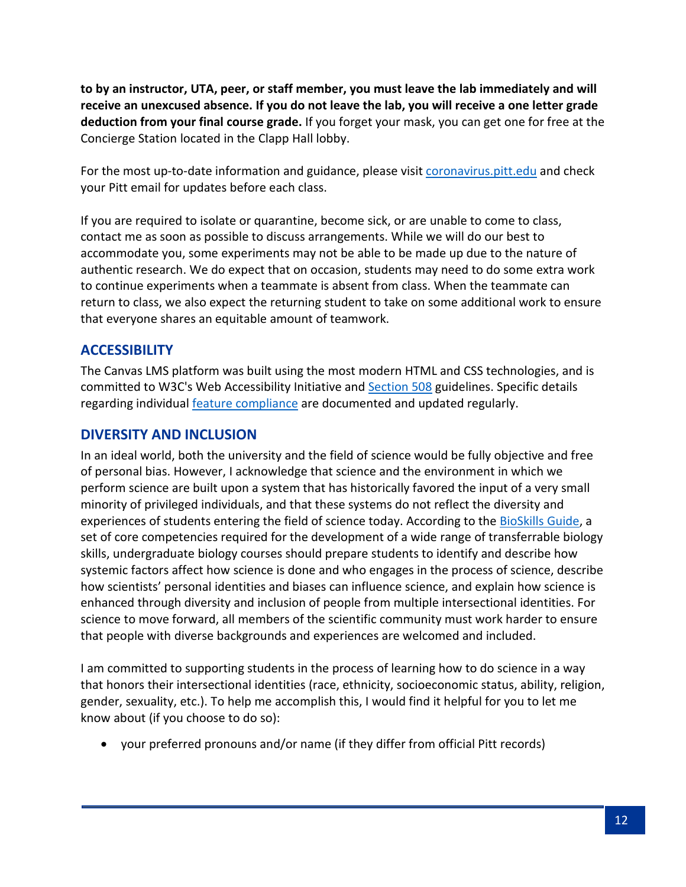**to by an instructor, UTA, peer, or staff member, you must leave the lab immediately and will receive an unexcused absence. If you do not leave the lab, you will receive a one letter grade deduction from your final course grade.** If you forget your mask, you can get one for free at the Concierge Station located in the Clapp Hall lobby.

For the most up-to-date information and guidance, please visit [coronavirus.pitt.edu](https://www.coronavirus.pitt.edu/) and check your Pitt email for updates before each class.

If you are required to isolate or quarantine, become sick, or are unable to come to class, contact me as soon as possible to discuss arrangements. While we will do our best to accommodate you, some experiments may not be able to be made up due to the nature of authentic research. We do expect that on occasion, students may need to do some extra work to continue experiments when a teammate is absent from class. When the teammate can return to class, we also expect the returning student to take on some additional work to ensure that everyone shares an equitable amount of teamwork.

## **ACCESSIBILITY**

The Canvas LMS platform was built using the most modern HTML and CSS technologies, and is committed to W3C's Web Accessibility Initiative and **Section 508** guidelines. Specific details regarding individual [feature compliance](https://community.canvaslms.com/docs/DOC-2061-accessibility-within-canvas) are documented and updated regularly.

### **DIVERSITY AND INCLUSION**

In an ideal world, both the university and the field of science would be fully objective and free of personal bias. However, I acknowledge that science and the environment in which we perform science are built upon a system that has historically favored the input of a very small minority of privileged individuals, and that these systems do not reflect the diversity and experiences of students entering the field of science today. According to the [BioSkills Guide,](https://qubeshub.org/publications/1305/5) a set of core competencies required for the development of a wide range of transferrable biology skills, undergraduate biology courses should prepare students to identify and describe how systemic factors affect how science is done and who engages in the process of science, describe how scientists' personal identities and biases can influence science, and explain how science is enhanced through diversity and inclusion of people from multiple intersectional identities. For science to move forward, all members of the scientific community must work harder to ensure that people with diverse backgrounds and experiences are welcomed and included.

I am committed to supporting students in the process of learning how to do science in a way that honors their intersectional identities (race, ethnicity, socioeconomic status, ability, religion, gender, sexuality, etc.). To help me accomplish this, I would find it helpful for you to let me know about (if you choose to do so):

• your preferred pronouns and/or name (if they differ from official Pitt records)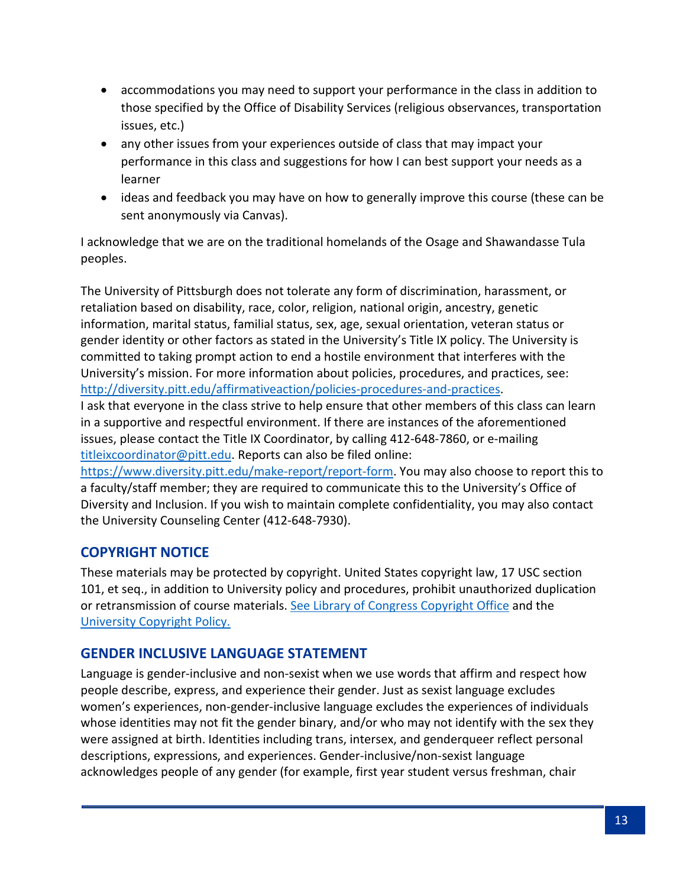- accommodations you may need to support your performance in the class in addition to those specified by the Office of Disability Services (religious observances, transportation issues, etc.)
- any other issues from your experiences outside of class that may impact your performance in this class and suggestions for how I can best support your needs as a learner
- ideas and feedback you may have on how to generally improve this course (these can be sent anonymously via Canvas).

I acknowledge that we are on the traditional homelands of the Osage and Shawandasse Tula peoples.

The University of Pittsburgh does not tolerate any form of discrimination, harassment, or retaliation based on disability, race, color, religion, national origin, ancestry, genetic information, marital status, familial status, sex, age, sexual orientation, veteran status or gender identity or other factors as stated in the University's Title IX policy. The University is committed to taking prompt action to end a hostile environment that interferes with the University's mission. For more information about policies, procedures, and practices, see: [http://diversity.pitt.edu/affirmativeaction/policies-procedures-and-practices.](http://diversity.pitt.edu/affirmativeaction/policies-procedures-and-practices)

I ask that everyone in the class strive to help ensure that other members of this class can learn in a supportive and respectful environment. If there are instances of the aforementioned issues, please contact the Title IX Coordinator, by calling 412-648-7860, or e-mailing [titleixcoordinator@pitt.edu.](mailto:titleixcoordinator@pitt.edu) Reports can also be filed online:

[https://www.diversity.pitt.edu/make-report/report-form.](https://www.diversity.pitt.edu/make-report/report-form) You may also choose to report this to a faculty/staff member; they are required to communicate this to the University's Office of Diversity and Inclusion. If you wish to maintain complete confidentiality, you may also contact the University Counseling Center (412-648-7930).

## **COPYRIGHT NOTICE**

These materials may be protected by copyright. United States copyright law, 17 USC section 101, et seq., in addition to University policy and procedures, prohibit unauthorized duplication or retransmission of course materials. See [Library of Congress Copyright Office](http://www.copyright.gov/) and the [University Copyright Policy.](http://www.library.pitt.edu/copyright-pitt)

## **GENDER INCLUSIVE LANGUAGE STATEMENT**

Language is gender-inclusive and non-sexist when we use words that affirm and respect how people describe, express, and experience their gender. Just as sexist language excludes women's experiences, non-gender-inclusive language excludes the experiences of individuals whose identities may not fit the gender binary, and/or who may not identify with the sex they were assigned at birth. Identities including trans, intersex, and genderqueer reflect personal descriptions, expressions, and experiences. Gender-inclusive/non-sexist language acknowledges people of any gender (for example, first year student versus freshman, chair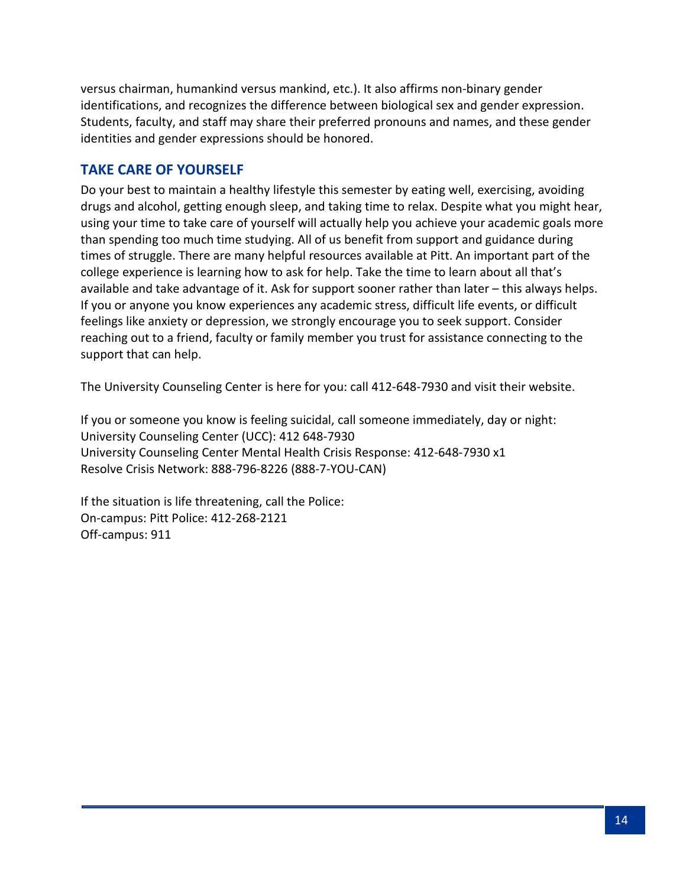versus chairman, humankind versus mankind, etc.). It also affirms non-binary gender identifications, and recognizes the difference between biological sex and gender expression. Students, faculty, and staff may share their preferred pronouns and names, and these gender identities and gender expressions should be honored.

### **TAKE CARE OF YOURSELF**

Do your best to maintain a healthy lifestyle this semester by eating well, exercising, avoiding drugs and alcohol, getting enough sleep, and taking time to relax. Despite what you might hear, using your time to take care of yourself will actually help you achieve your academic goals more than spending too much time studying. All of us benefit from support and guidance during times of struggle. There are many helpful resources available at Pitt. An important part of the college experience is learning how to ask for help. Take the time to learn about all that's available and take advantage of it. Ask for support sooner rather than later – this always helps. If you or anyone you know experiences any academic stress, difficult life events, or difficult feelings like anxiety or depression, we strongly encourage you to seek support. Consider reaching out to a friend, faculty or family member you trust for assistance connecting to the support that can help.

The University Counseling Center is here for you: call 412-648-7930 and visit their website.

If you or someone you know is feeling suicidal, call someone immediately, day or night: University Counseling Center (UCC): 412 648-7930 University Counseling Center Mental Health Crisis Response: 412-648-7930 x1 Resolve Crisis Network: 888-796-8226 (888-7-YOU-CAN)

If the situation is life threatening, call the Police: On-campus: Pitt Police: 412-268-2121 Off-campus: 911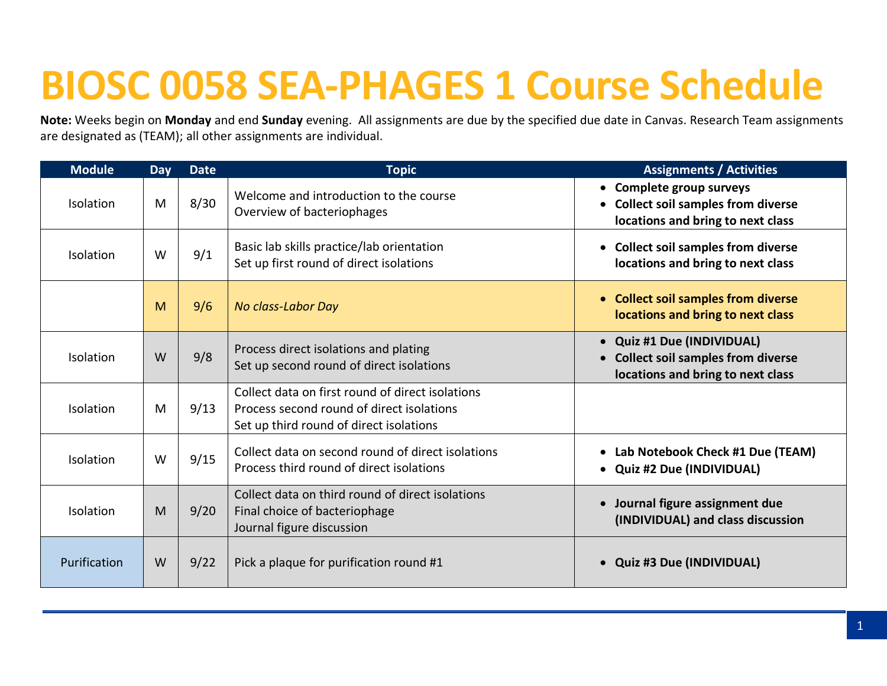# **BIOSC 0058 SEA-PHAGES 1 Course Schedule**

**Note:** Weeks begin on **Monday** and end **Sunday** evening. All assignments are due by the specified due date in Canvas. Research Team assignments are designated as (TEAM); all other assignments are individual.

| <b>Module</b> | <b>Day</b> | <b>Date</b> | <b>Topic</b>                                                                                                                             | <b>Assignments / Activities</b>                                                                             |
|---------------|------------|-------------|------------------------------------------------------------------------------------------------------------------------------------------|-------------------------------------------------------------------------------------------------------------|
| Isolation     | M          | 8/30        | Welcome and introduction to the course<br>Overview of bacteriophages                                                                     | • Complete group surveys<br><b>Collect soil samples from diverse</b><br>locations and bring to next class   |
| Isolation     | W          | 9/1         | Basic lab skills practice/lab orientation<br>Set up first round of direct isolations                                                     | <b>Collect soil samples from diverse</b><br>locations and bring to next class                               |
|               | M          | 9/6         | No class-Labor Day                                                                                                                       | <b>Collect soil samples from diverse</b><br>$\bullet$<br>locations and bring to next class                  |
| Isolation     | W          | 9/8         | Process direct isolations and plating<br>Set up second round of direct isolations                                                        | • Quiz #1 Due (INDIVIDUAL)<br><b>Collect soil samples from diverse</b><br>locations and bring to next class |
| Isolation     | M          | 9/13        | Collect data on first round of direct isolations<br>Process second round of direct isolations<br>Set up third round of direct isolations |                                                                                                             |
| Isolation     | W          | 9/15        | Collect data on second round of direct isolations<br>Process third round of direct isolations                                            | Lab Notebook Check #1 Due (TEAM)<br><b>Quiz #2 Due (INDIVIDUAL)</b>                                         |
| Isolation     | M          | 9/20        | Collect data on third round of direct isolations<br>Final choice of bacteriophage<br>Journal figure discussion                           | Journal figure assignment due<br>(INDIVIDUAL) and class discussion                                          |
| Purification  | W          | 9/22        | Pick a plaque for purification round #1                                                                                                  | <b>Quiz #3 Due (INDIVIDUAL)</b>                                                                             |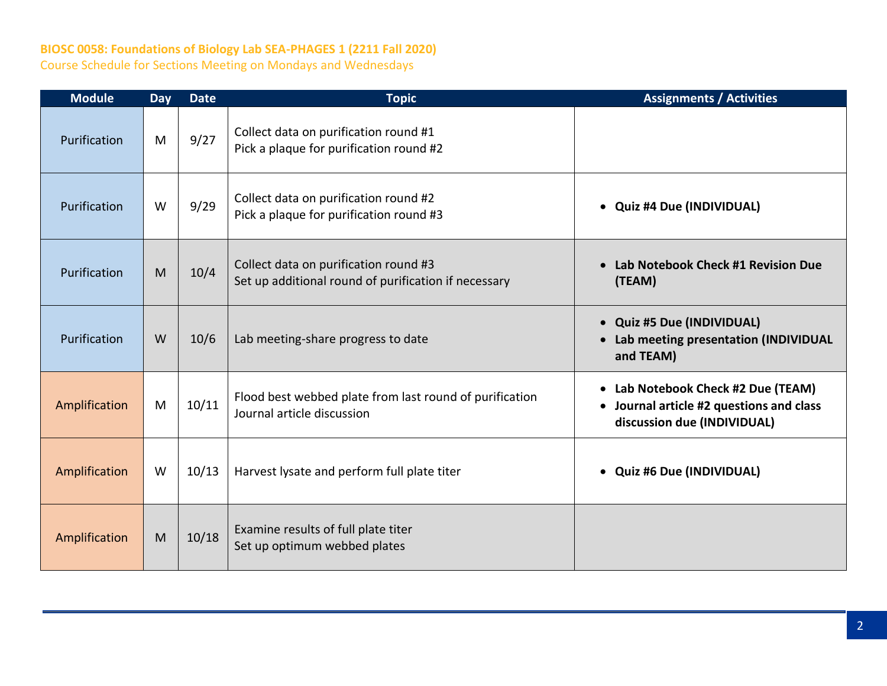## **BIOSC 0058: Foundations of Biology Lab SEA-PHAGES 1 (2211 Fall 2020)**

Course Schedule for Sections Meeting on Mondays and Wednesdays

| <b>Module</b> | Day | <b>Date</b> | <b>Topic</b>                                                                                  | <b>Assignments / Activities</b>                                                                               |
|---------------|-----|-------------|-----------------------------------------------------------------------------------------------|---------------------------------------------------------------------------------------------------------------|
| Purification  | M   | 9/27        | Collect data on purification round #1<br>Pick a plaque for purification round #2              |                                                                                                               |
| Purification  | W   | 9/29        | Collect data on purification round #2<br>Pick a plaque for purification round #3              | <b>Quiz #4 Due (INDIVIDUAL)</b><br>$\bullet$                                                                  |
| Purification  | M   | 10/4        | Collect data on purification round #3<br>Set up additional round of purification if necessary | Lab Notebook Check #1 Revision Due<br>(TEAM)                                                                  |
| Purification  | W   | 10/6        | Lab meeting-share progress to date                                                            | • Quiz #5 Due (INDIVIDUAL)<br>Lab meeting presentation (INDIVIDUAL<br>and TEAM)                               |
| Amplification | M   | 10/11       | Flood best webbed plate from last round of purification<br>Journal article discussion         | • Lab Notebook Check #2 Due (TEAM)<br>• Journal article #2 questions and class<br>discussion due (INDIVIDUAL) |
| Amplification | W   | 10/13       | Harvest lysate and perform full plate titer                                                   | <b>Quiz #6 Due (INDIVIDUAL)</b><br>$\bullet$                                                                  |
| Amplification | M   | 10/18       | Examine results of full plate titer<br>Set up optimum webbed plates                           |                                                                                                               |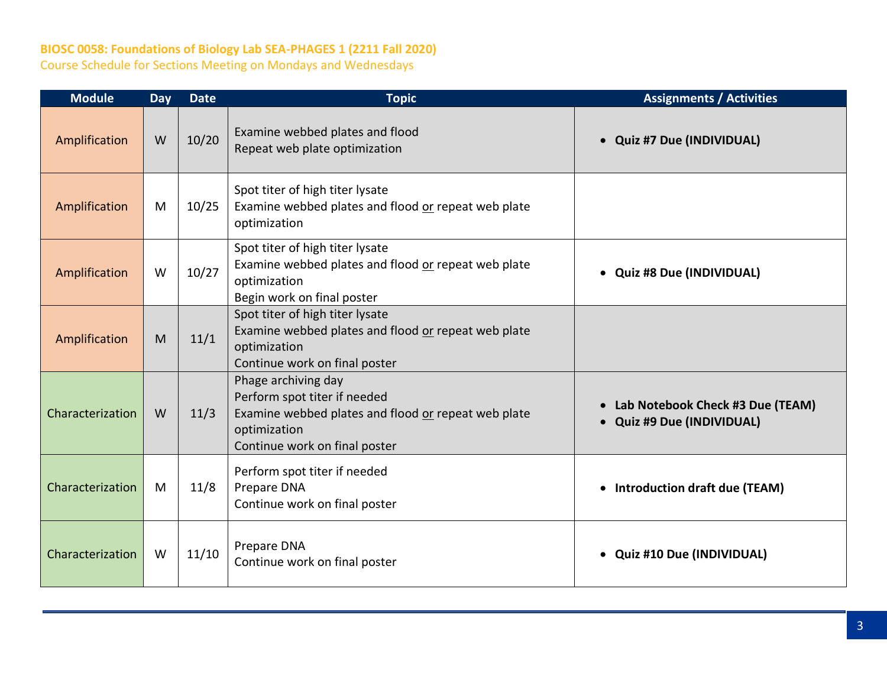## **BIOSC 0058: Foundations of Biology Lab SEA-PHAGES 1 (2211 Fall 2020)**

Course Schedule for Sections Meeting on Mondays and Wednesdays

| <b>Module</b>    | Day | <b>Date</b> | <b>Topic</b>                                                                                                                                                | <b>Assignments / Activities</b>                                |
|------------------|-----|-------------|-------------------------------------------------------------------------------------------------------------------------------------------------------------|----------------------------------------------------------------|
| Amplification    | W   | 10/20       | Examine webbed plates and flood<br>Repeat web plate optimization                                                                                            | • Quiz #7 Due (INDIVIDUAL)                                     |
| Amplification    | M   | 10/25       | Spot titer of high titer lysate<br>Examine webbed plates and flood or repeat web plate<br>optimization                                                      |                                                                |
| Amplification    | W   | 10/27       | Spot titer of high titer lysate<br>Examine webbed plates and flood or repeat web plate<br>optimization<br>Begin work on final poster                        | • Quiz #8 Due (INDIVIDUAL)                                     |
| Amplification    | M   | 11/1        | Spot titer of high titer lysate<br>Examine webbed plates and flood or repeat web plate<br>optimization<br>Continue work on final poster                     |                                                                |
| Characterization | W   | 11/3        | Phage archiving day<br>Perform spot titer if needed<br>Examine webbed plates and flood or repeat web plate<br>optimization<br>Continue work on final poster | Lab Notebook Check #3 Due (TEAM)<br>• Quiz #9 Due (INDIVIDUAL) |
| Characterization | M   | 11/8        | Perform spot titer if needed<br>Prepare DNA<br>Continue work on final poster                                                                                | • Introduction draft due (TEAM)                                |
| Characterization | W   | 11/10       | Prepare DNA<br>Continue work on final poster                                                                                                                | • Quiz #10 Due (INDIVIDUAL)                                    |